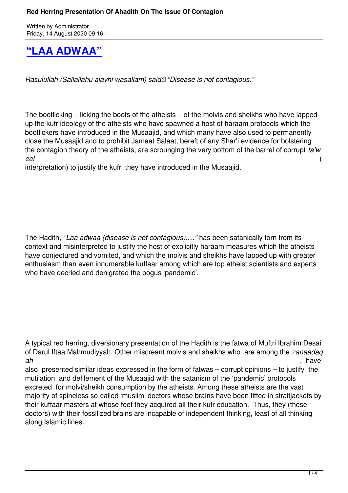## **"LAA ADWAA"**

*[Rasulullah \(Sallallahu ala](books/Red Herring Presentation Of Ahadith On The Issue Of Contagion_Ebooklet.pdf)yhi wasallam) said: "Disease is not contagious."*

The bootlicking – licking the boots of the atheists – of the molvis and sheikhs who have lapped up the kufr ideology of the atheists who have spawned a host of haraam protocols which the bootlickers have introduced in the Musaajid, and which many have also used to permanently close the Musaajid and to prohibit Jamaat Salaat, bereft of any Shar'i evidence for bolstering the contagion theory of the atheists, are scrounging the very bottom of the barrel of corrupt *ta'w eel* (

interpretation) to justify the kufr they have introduced in the Musaajid.

The Hadith, *"Laa adwaa (disease is not contagious).…"* has been satanically torn from its context and misinterpreted to justify the host of explicitly haraam measures which the atheists have conjectured and vomited, and which the molvis and sheikhs have lapped up with greater enthusiasm than even innumerable kuffaar among which are top atheist scientists and experts who have decried and denigrated the bogus 'pandemic'.

A typical red herring, diversionary presentation of the Hadith is the fatwa of Muftri Ibrahim Desai of Darul Iftaa Mahmudiyyah. Other miscreant molvis and sheikhs who are among the *zanaadaq ah* , have

also presented similar ideas expressed in the form of fatwas – corrupt opinions – to justify the mutilation and defilement of the Musaajid with the satanism of the 'pandemic' protocols excreted for molvi/sheikh consumption by the atheists. Among these atheists are the vast majority of spineless so-called 'muslim' doctors whose brains have been fitted in straitjackets by their kuffaar masters at whose feet they acquired all their kufr education. Thus, they (these doctors) with their fossilized brains are incapable of independent thinking, least of all thinking along Islamic lines.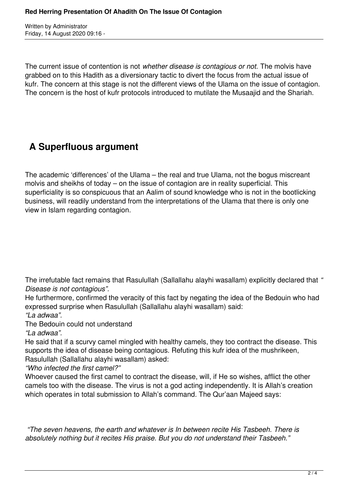Written by Administrator Friday, 14 August 2020 09:16 -

The current issue of contention is not *whether disease is contagious or not.* The molvis have grabbed on to this Hadith as a diversionary tactic to divert the focus from the actual issue of kufr. The concern at this stage is not the different views of the Ulama on the issue of contagion. The concern is the host of kufr protocols introduced to mutilate the Musaajid and the Shariah.

## **A Superfluous argument**

The academic 'differences' of the Ulama – the real and true Ulama, not the bogus miscreant molvis and sheikhs of today – on the issue of contagion are in reality superficial. This superficiality is so conspicuous that an Aalim of sound knowledge who is not in the bootlicking business, will readily understand from the interpretations of the Ulama that there is only one view in Islam regarding contagion.

The irrefutable fact remains that Rasulullah (Sallallahu alayhi wasallam) explicitly declared that *" Disease is not contagious".*

He furthermore, confirmed the veracity of this fact by negating the idea of the Bedouin who had expressed surprise when Rasulullah (Sallallahu alayhi wasallam) said:

*"La adwaa".* 

The Bedouin could not understand

*"La adwaa".* 

He said that if a scurvy camel mingled with healthy camels, they too contract the disease. This supports the idea of disease being contagious. Refuting this kufr idea of the mushrikeen, Rasulullah (Sallallahu alayhi wasallam) asked:

*"Who infected the first camel?"* 

Whoever caused the first camel to contract the disease, will, if He so wishes, afflict the other camels too with the disease. The virus is not a god acting independently. It is Allah's creation which operates in total submission to Allah's command. The Qur'aan Majeed says:

 *"The seven heavens, the earth and whatever is In between recite His Tasbeeh. There is absolutely nothing but it recites His praise. But you do not understand their Tasbeeh."*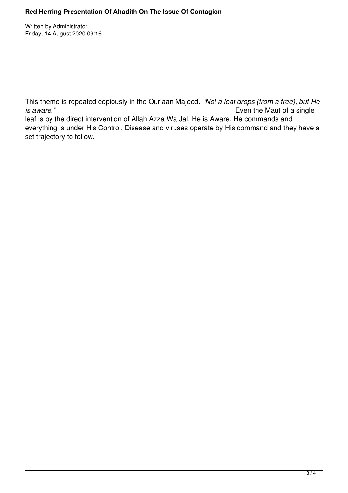Written by Administrator Friday, 14 August 2020 09:16 -

This theme is repeated copiously in the Qur'aan Majeed. *"Not a leaf drops (from a tree), but He is aware.*" **Even the Maut of a single** leaf is by the direct intervention of Allah Azza Wa Jal. He is Aware. He commands and everything is under His Control. Disease and viruses operate by His command and they have a set trajectory to follow.